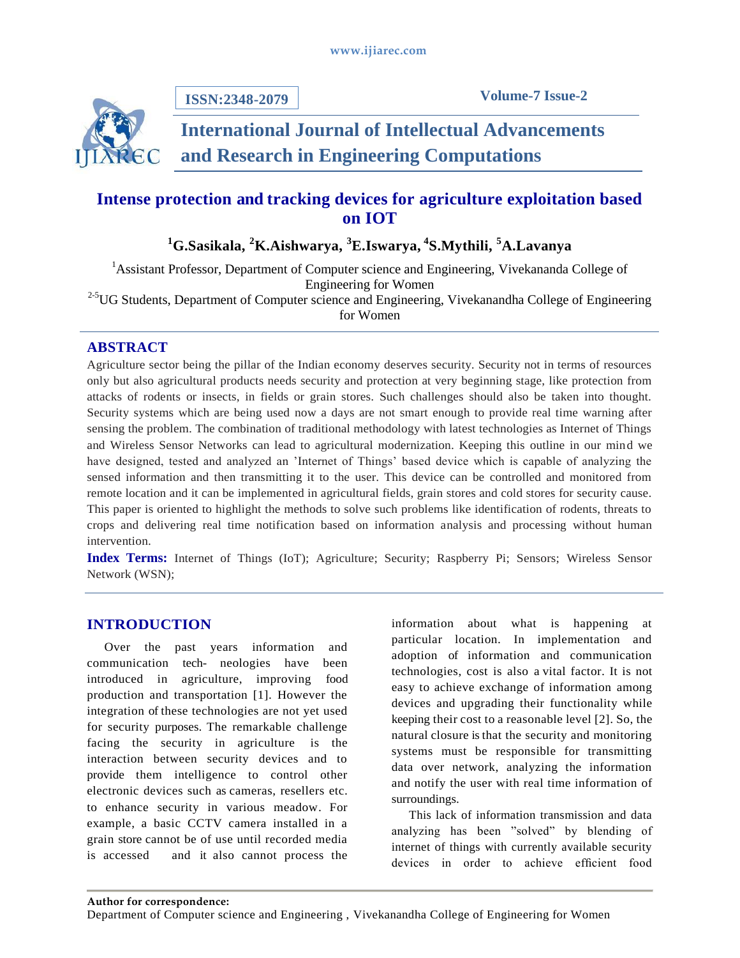

**ISSN:2348-2079**

# **International Journal of Intellectual Advancements and Research in Engineering Computations**

## **Intense protection and tracking devices for agriculture exploitation based on IOT**

## **<sup>1</sup>G.Sasikala, <sup>2</sup>K.Aishwarya, <sup>3</sup>E.Iswarya, <sup>4</sup> S.Mythili, <sup>5</sup>A.Lavanya**

<sup>1</sup>Assistant Professor, Department of Computer science and Engineering, Vivekananda College of Engineering for Women <sup>2-5</sup>UG Students, Department of Computer science and Engineering, Vivekanandha College of Engineering

for Women

## **ABSTRACT**

Agriculture sector being the pillar of the Indian economy deserves security. Security not in terms of resources only but also agricultural products needs security and protection at very beginning stage, like protection from attacks of rodents or insects, in fields or grain stores. Such challenges should also be taken into thought. Security systems which are being used now a days are not smart enough to provide real time warning after sensing the problem. The combination of traditional methodology with latest technologies as Internet of Things and Wireless Sensor Networks can lead to agricultural modernization. Keeping this outline in our mind we have designed, tested and analyzed an 'Internet of Things' based device which is capable of analyzing the sensed information and then transmitting it to the user. This device can be controlled and monitored from remote location and it can be implemented in agricultural fields, grain stores and cold stores for security cause. This paper is oriented to highlight the methods to solve such problems like identification of rodents, threats to crops and delivering real time notification based on information analysis and processing without human intervention.

**Index Terms:** Internet of Things (IoT); Agriculture; Security; Raspberry Pi; Sensors; Wireless Sensor Network (WSN);

## **INTRODUCTION**

Over the past years information and communication tech- neologies have been introduced in agriculture, improving food production and transportation [1]. However the integration of these technologies are not yet used for security purposes. The remarkable challenge facing the security in agriculture is the interaction between security devices and to provide them intelligence to control other electronic devices such as cameras, resellers etc. to enhance security in various meadow. For example, a basic CCTV camera installed in a grain store cannot be of use until recorded media is accessed and it also cannot process the

information about what is happening at particular location. In implementation and adoption of information and communication technologies, cost is also a vital factor. It is not easy to achieve exchange of information among devices and upgrading their functionality while keeping their cost to a reasonable level [2]. So, the natural closure is that the security and monitoring systems must be responsible for transmitting data over network, analyzing the information and notify the user with real time information of surroundings.

This lack of information transmission and data analyzing has been "solved" by blending of internet of things with currently available security devices in order to achieve efficient food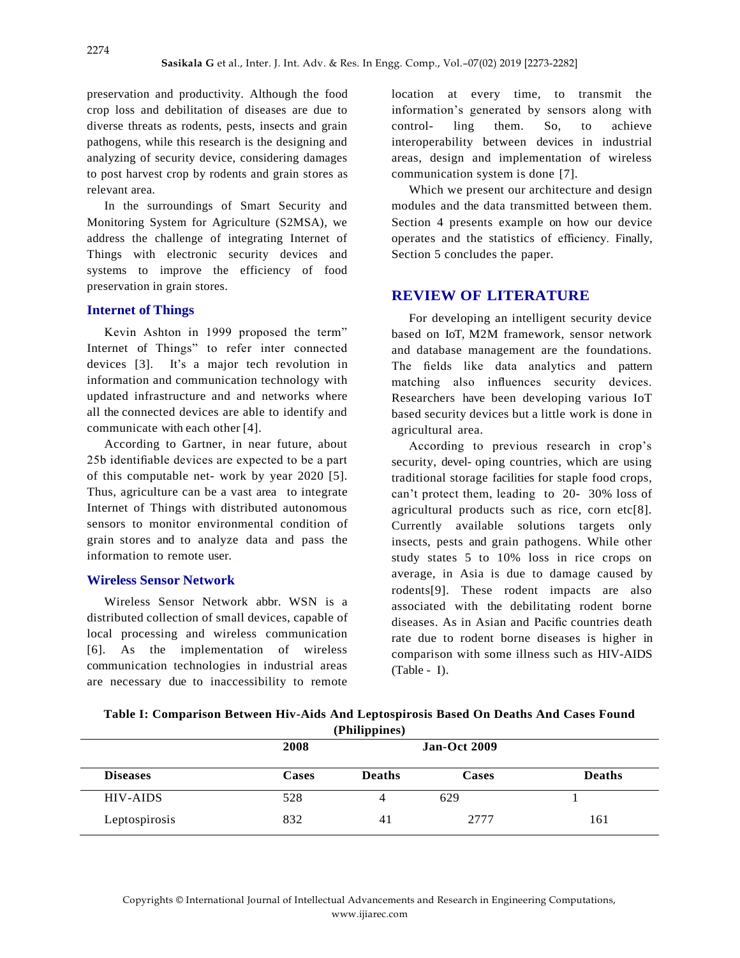preservation and productivity. Although the food crop loss and debilitation of diseases are due to diverse threats as rodents, pests, insects and grain pathogens, while this research is the designing and analyzing of security device, considering damages to post harvest crop by rodents and grain stores as relevant area.

In the surroundings of Smart Security and Monitoring System for Agriculture (S2MSA), we address the challenge of integrating Internet of Things with electronic security devices and systems to improve the efficiency of food preservation in grain stores.

#### **Internet of Things**

Kevin Ashton in 1999 proposed the term" Internet of Things" to refer inter connected devices [3]. It's a major tech revolution in information and communication technology with updated infrastructure and and networks where all the connected devices are able to identify and communicate with each other [4].

According to Gartner, in near future, about 25b identifiable devices are expected to be a part of this computable net- work by year 2020 [5]. Thus, agriculture can be a vast area to integrate Internet of Things with distributed autonomous sensors to monitor environmental condition of grain stores and to analyze data and pass the information to remote user.

#### **Wireless Sensor Network**

Wireless Sensor Network abbr. WSN is a distributed collection of small devices, capable of local processing and wireless communication [6]. As the implementation of wireless communication technologies in industrial areas are necessary due to inaccessibility to remote

location at every time, to transmit the information's generated by sensors along with control- ling them. So, to achieve interoperability between devices in industrial areas, design and implementation of wireless communication system is done [7].

Which we present our architecture and design modules and the data transmitted between them. Section 4 presents example on how our device operates and the statistics of efficiency. Finally, Section 5 concludes the paper.

## **REVIEW OF LITERATURE**

For developing an intelligent security device based on IoT, M2M framework, sensor network and database management are the foundations. The fields like data analytics and pattern matching also influences security devices. Researchers have been developing various IoT based security devices but a little work is done in agricultural area.

According to previous research in crop's security, devel- oping countries, which are using traditional storage facilities for staple food crops, can't protect them, leading to 20- 30% loss of agricultural products such as rice, corn etc[8]. Currently available solutions targets only insects, pests and grain pathogens. While other study states 5 to 10% loss in rice crops on average, in Asia is due to damage caused by rodents[9]. These rodent impacts are also associated with the debilitating rodent borne diseases. As in Asian and Pacific countries death rate due to rodent borne diseases is higher in comparison with some illness such as HIV-AIDS (Table - I).

| Table I: Comparison Between Hiv-Aids And Leptospirosis Based On Deaths And Cases Found |  |  |  |  |  |
|----------------------------------------------------------------------------------------|--|--|--|--|--|
| (Philippines)                                                                          |  |  |  |  |  |
|                                                                                        |  |  |  |  |  |

|                 | 2008         |               | <b>Jan-Oct 2009</b> |               |
|-----------------|--------------|---------------|---------------------|---------------|
| <b>Diseases</b> | <b>Cases</b> | <b>Deaths</b> | Cases               | <b>Deaths</b> |
| <b>HIV-AIDS</b> | 528          |               | 629                 |               |
| Leptospirosis   | 832          | 41            | 2777                | 161           |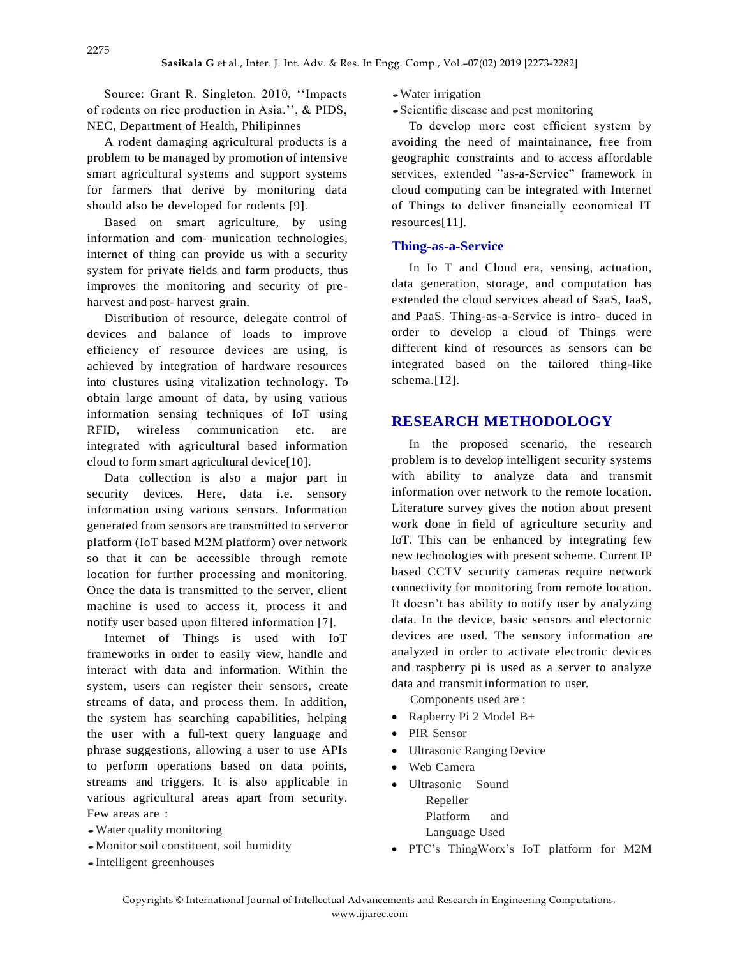Source: Grant R. Singleton. 2010, ''Impacts of rodents on rice production in Asia.'', & PIDS, NEC, Department of Health, Philipinnes

A rodent damaging agricultural products is a problem to be managed by promotion of intensive smart agricultural systems and support systems for farmers that derive by monitoring data should also be developed for rodents [9].

Based on smart agriculture, by using information and com- munication technologies, internet of thing can provide us with a security system for private fields and farm products, thus improves the monitoring and security of preharvest and post- harvest grain.

Distribution of resource, delegate control of devices and balance of loads to improve efficiency of resource devices are using, is achieved by integration of hardware resources into clustures using vitalization technology. To obtain large amount of data, by using various information sensing techniques of IoT using RFID, wireless communication etc. are integrated with agricultural based information cloud to form smart agricultural device[10].

Data collection is also a major part in security devices. Here, data i.e. sensory information using various sensors. Information generated from sensors are transmitted to server or platform (IoT based M2M platform) over network so that it can be accessible through remote location for further processing and monitoring. Once the data is transmitted to the server, client machine is used to access it, process it and notify user based upon filtered information [7].

Internet of Things is used with IoT frameworks in order to easily view, handle and interact with data and information. Within the system, users can register their sensors, create streams of data, and process them. In addition, the system has searching capabilities, helping the user with a full-text query language and phrase suggestions, allowing a user to use APIs to perform operations based on data points, streams and triggers. It is also applicable in various agricultural areas apart from security. Few areas are :

- Water quality monitoring
- Monitor soil constituent, soil humidity
- Intelligent greenhouses
- Water irrigation
- Scientific disease and pest monitoring

To develop more cost efficient system by avoiding the need of maintainance, free from geographic constraints and to access affordable services, extended "as-a-Service" framework in cloud computing can be integrated with Internet of Things to deliver financially economical IT resources[11].

## **Thing-as-a-Service**

In Io T and Cloud era, sensing, actuation, data generation, storage, and computation has extended the cloud services ahead of SaaS, IaaS, and PaaS. Thing-as-a-Service is intro- duced in order to develop a cloud of Things were different kind of resources as sensors can be integrated based on the tailored thing-like schema.<sup>[12]</sup>.

## **RESEARCH METHODOLOGY**

In the proposed scenario, the research problem is to develop intelligent security systems with ability to analyze data and transmit information over network to the remote location. Literature survey gives the notion about present work done in field of agriculture security and IoT. This can be enhanced by integrating few new technologies with present scheme. Current IP based CCTV security cameras require network connectivity for monitoring from remote location. It doesn't has ability to notify user by analyzing data. In the device, basic sensors and electornic devices are used. The sensory information are analyzed in order to activate electronic devices and raspberry pi is used as a server to analyze data and transmit information to user.

Components used are :

- Rapberry Pi 2 Model B+
- PIR Sensor
- Ultrasonic Ranging Device
- Web Camera
- Ultrasonic Sound Repeller Platform and Language Used
- PTC's ThingWorx's IoT platform for M2M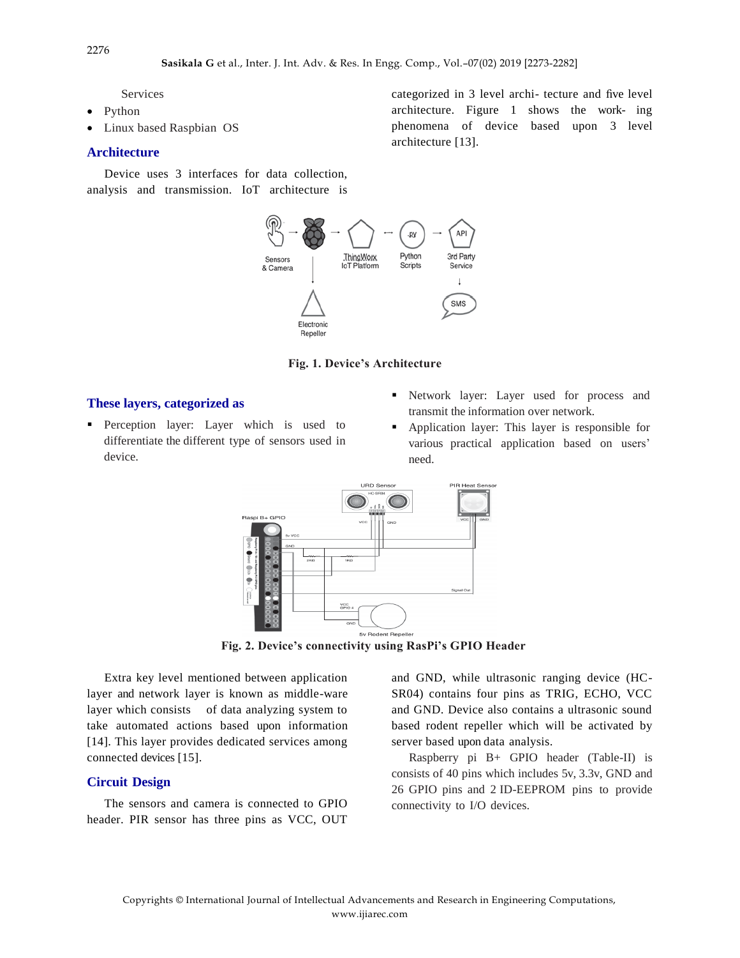Services

- Python
- Linux based Raspbian OS

#### **Architecture**

Device uses 3 interfaces for data collection, analysis and transmission. IoT architecture is



#### **Fig. 1. Device's Architecture**

#### **These layers, categorized as**

- **Perception layer:** Layer which is used to differentiate the different type of sensors used in device.
- Network layer: Layer used for process and transmit the information over network.
- Application layer: This layer is responsible for various practical application based on users' need.



**Fig. 2. Device's connectivity using RasPi's GPIO Header**

Extra key level mentioned between application layer and network layer is known as middle-ware layer which consists of data analyzing system to take automated actions based upon information [14]. This layer provides dedicated services among connected devices [15].

#### **Circuit Design**

The sensors and camera is connected to GPIO header. PIR sensor has three pins as VCC, OUT and GND, while ultrasonic ranging device (HC-SR04) contains four pins as TRIG, ECHO, VCC and GND. Device also contains a ultrasonic sound based rodent repeller which will be activated by server based upon data analysis.

Raspberry pi B+ GPIO header (Table-II) is consists of 40 pins which includes 5v, 3.3v, GND and 26 GPIO pins and 2 ID-EEPROM pins to provide connectivity to I/O devices.

2276

categorized in 3 level archi- tecture and five level architecture. Figure 1 shows the work- ing phenomena of device based upon 3 level

architecture [13].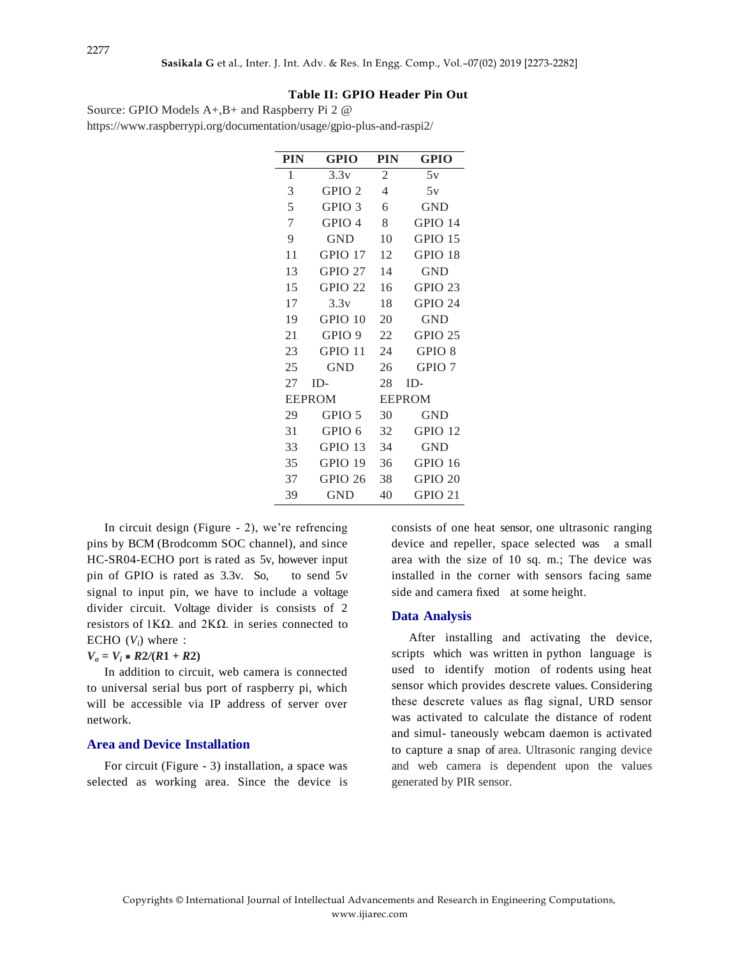## **Table II: GPIO Header Pin Out**

| Source: GPIO Models $A+, B+$ and Raspberry Pi 2 $\omega$              |
|-----------------------------------------------------------------------|
| https://www.raspberrypi.org/documentation/usage/gpio-plus-and-raspi2/ |

| <b>PIN</b>    | <b>GPIO</b>       | <b>PIN</b>     | <b>GPIO</b>        |  |  |
|---------------|-------------------|----------------|--------------------|--|--|
| 1             | 3.3v              | $\overline{c}$ | 5v                 |  |  |
| 3             | GPIO <sub>2</sub> | 4              | 5v                 |  |  |
| 5             | GPIO <sub>3</sub> | 6              | <b>GND</b>         |  |  |
| 7             | GPIO <sub>4</sub> | 8              | GPIO 14            |  |  |
| 9             | <b>GND</b>        | 10             | <b>GPIO 15</b>     |  |  |
| 11            | GPIO 17           | 12             | GPIO 18            |  |  |
| 13            | GPIO 27           | 14             | <b>GND</b>         |  |  |
| 15            | <b>GPIO 22</b>    | 16             | <b>GPIO 23</b>     |  |  |
| 17            | 3.3v              | 18             | GPIO 24            |  |  |
| 19            | GPIO 10           | 20             | GND                |  |  |
| 21            | GPIO <sub>9</sub> | 22             | GPIO <sub>25</sub> |  |  |
| 23            | GPIO 11           | 24             | GPIO 8             |  |  |
| 25            | <b>GND</b>        | 26             | GPIO <sub>7</sub>  |  |  |
| 27            | $ID-$             | 28             | $ID-$              |  |  |
| <b>EEPROM</b> |                   |                | <b>EEPROM</b>      |  |  |
| 29            | GPIO 5            | 30             | <b>GND</b>         |  |  |
| 31            | GPIO 6            | 32             | <b>GPIO 12</b>     |  |  |
| 33            | <b>GPIO 13</b>    | 34             | <b>GND</b>         |  |  |
| 35            | GPIO 19           | 36             | GPIO 16            |  |  |
| 37            | GPIO 26           | 38             | GPIO 20            |  |  |
| 39            | GND               | 40             | GPIO <sub>21</sub> |  |  |

In circuit design (Figure - 2), we're refrencing pins by BCM (Brodcomm SOC channel), and since HC-SR04-ECHO port is rated as 5v, however input pin of GPIO is rated as 3.3v. So, to send 5v signal to input pin, we have to include a voltage divider circuit. Voltage divider is consists of 2 resistors of 1KΩ. and 2KΩ. in series connected to ECHO  $(V_i)$  where :

#### $V_o = V_i * R2/(R1 + R2)$

In addition to circuit, web camera is connected to universal serial bus port of raspberry pi, which will be accessible via IP address of server over network.

#### **Area and Device Installation**

For circuit (Figure - 3) installation, a space was selected as working area. Since the device is consists of one heat sensor, one ultrasonic ranging device and repeller, space selected was a small area with the size of 10 sq. m.; The device was installed in the corner with sensors facing same side and camera fixed at some height.

#### **Data Analysis**

After installing and activating the device, scripts which was written in python language is used to identify motion of rodents using heat sensor which provides descrete values. Considering these descrete values as flag signal, URD sensor was activated to calculate the distance of rodent and simul- taneously webcam daemon is activated to capture a snap of area. Ultrasonic ranging device and web camera is dependent upon the values generated by PIR sensor.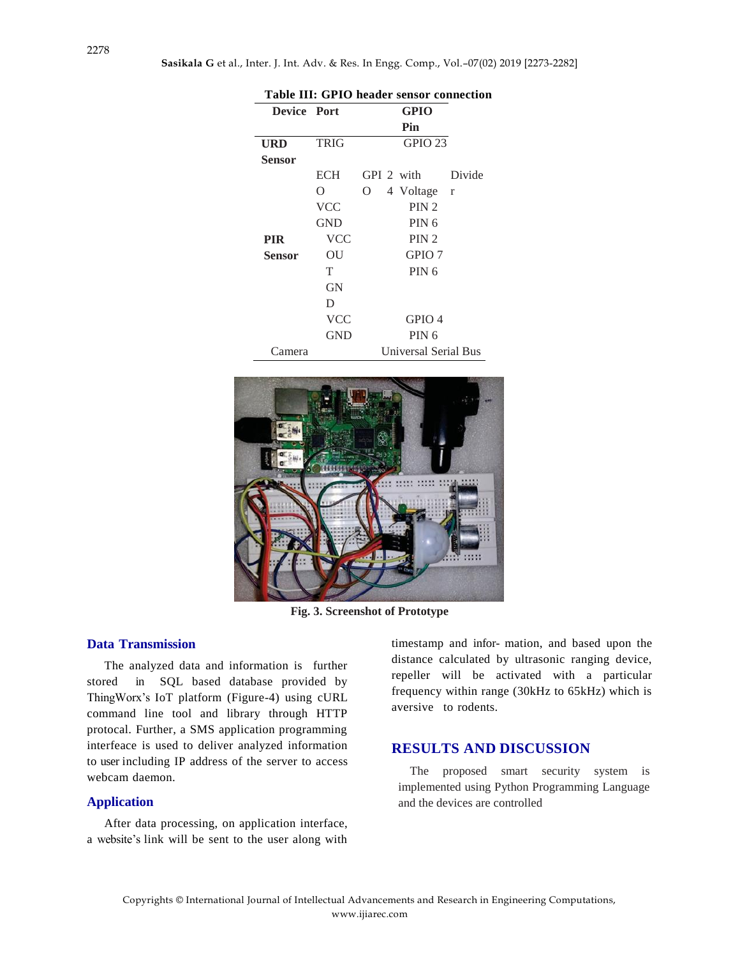| Table III: GPIO header sensor connection |             |                      |  |  |  |  |  |
|------------------------------------------|-------------|----------------------|--|--|--|--|--|
| <b>Device Port</b>                       |             | <b>GPIO</b>          |  |  |  |  |  |
|                                          |             | Pin                  |  |  |  |  |  |
| URD                                      | <b>TRIG</b> | <b>GPIO 23</b>       |  |  |  |  |  |
| Sensor                                   |             |                      |  |  |  |  |  |
|                                          | ECH         | GPI 2 with<br>Divide |  |  |  |  |  |
|                                          | Ω           | 4 Voltage r<br>O     |  |  |  |  |  |
|                                          | <b>VCC</b>  | PIN <sub>2</sub>     |  |  |  |  |  |
|                                          | <b>GND</b>  | PIN <sub>6</sub>     |  |  |  |  |  |
| <b>PIR</b>                               | <b>VCC</b>  | PIN <sub>2</sub>     |  |  |  |  |  |
| Sensor                                   | OU          | GPIO <sub>7</sub>    |  |  |  |  |  |
|                                          | T           | PIN <sub>6</sub>     |  |  |  |  |  |
|                                          | <b>GN</b>   |                      |  |  |  |  |  |
|                                          | D           |                      |  |  |  |  |  |
|                                          | <b>VCC</b>  | GPIO 4               |  |  |  |  |  |
|                                          | GND         | PIN <sub>6</sub>     |  |  |  |  |  |
| `amera                                   |             | Universal Serial Bus |  |  |  |  |  |



**Fig. 3. Screenshot of Prototype**

### **Data Transmission**

The analyzed data and information is further stored in SQL based database provided by ThingWorx's IoT platform (Figure-4) using cURL command line tool and library through HTTP protocal. Further, a SMS application programming interfeace is used to deliver analyzed information to user including IP address of the server to access webcam daemon.

## **Application**

After data processing, on application interface, a website's link will be sent to the user along with

timestamp and infor- mation, and based upon the distance calculated by ultrasonic ranging device, repeller will be activated with a particular frequency within range (30kHz to 65kHz) which is aversive to rodents.

## **RESULTS AND DISCUSSION**

The proposed smart security system is implemented using Python Programming Language and the devices are controlled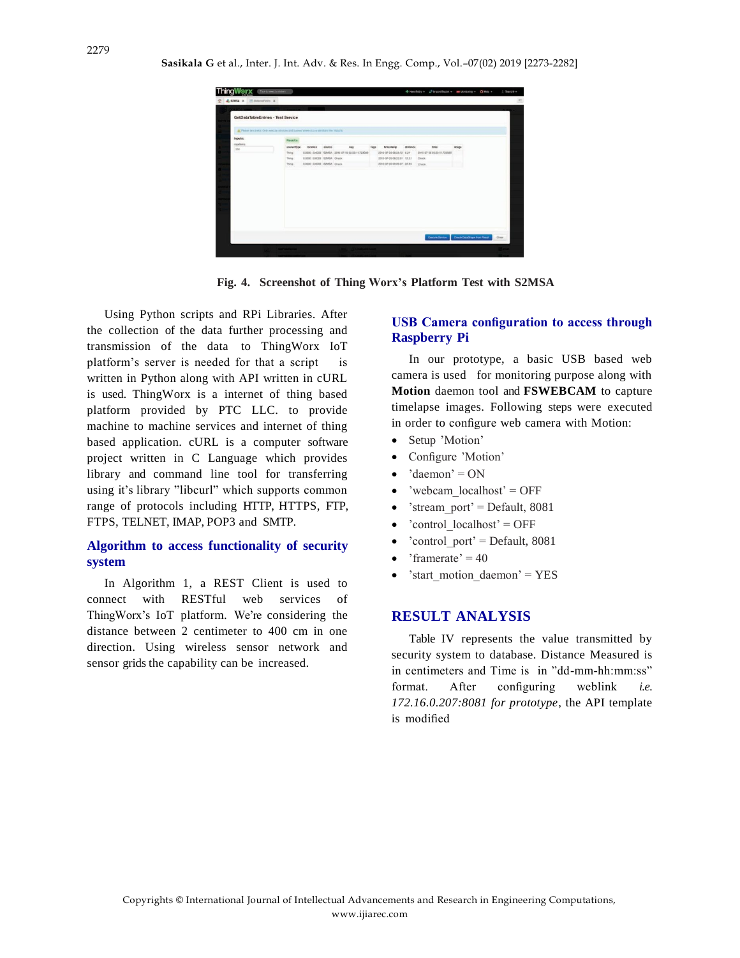|                                                                                       | Type to search system |                               |        |                                                |      |                           |          | + New Entry + at traort/Export + m Montoing + 0.1440 + |                              | $1.7$ hàm29 $-$ |
|---------------------------------------------------------------------------------------|-----------------------|-------------------------------|--------|------------------------------------------------|------|---------------------------|----------|--------------------------------------------------------|------------------------------|-----------------|
| SIMSA K EditorioTelli K                                                               |                       |                               |        |                                                |      |                           |          |                                                        |                              |                 |
|                                                                                       |                       |                               |        |                                                |      |                           |          |                                                        |                              |                 |
| GetDataTableEntries - Test Service                                                    |                       |                               |        |                                                |      |                           |          |                                                        |                              |                 |
|                                                                                       |                       |                               |        |                                                |      |                           |          |                                                        |                              |                 |
| Fiscale by careful. Only execute services and queens when you understand the repacts. |                       |                               |        |                                                |      |                           |          |                                                        |                              |                 |
| trouts:                                                                               | Results:              |                               |        |                                                |      |                           |          |                                                        |                              |                 |
| mailent<br>500                                                                        | nounce Type           | focation                      | source | key                                            | taps | timistamp                 | distance | time                                                   | IMAGE                        |                 |
|                                                                                       | Thing                 |                               |        | 0.0000 0.0000 S2MSA 2015-07-05 02:53:11.723939 |      | 2015-07-05 08:23:12 6.24  |          | 2015-07-05 02:53:11,723939                             |                              |                 |
|                                                                                       | Thing                 | 0.0000 : 0.0000 SJMSA : Oheck |        |                                                |      | 2015-07-09 08:22:31 12:31 |          | <b>Check</b>                                           |                              |                 |
|                                                                                       | Thing                 | 0.0000 : 0.0000 SJMSA Check   |        |                                                |      | 2015-07-05 09:09:37 22.93 |          | <b>Check</b>                                           |                              |                 |
|                                                                                       |                       |                               |        |                                                |      |                           |          |                                                        |                              |                 |
|                                                                                       |                       |                               |        |                                                |      |                           |          |                                                        |                              |                 |
|                                                                                       |                       |                               |        |                                                |      |                           |          |                                                        |                              |                 |
|                                                                                       |                       |                               |        |                                                |      |                           |          |                                                        |                              |                 |
|                                                                                       |                       |                               |        |                                                |      |                           |          |                                                        |                              |                 |
|                                                                                       |                       |                               |        |                                                |      |                           |          |                                                        |                              |                 |
|                                                                                       |                       |                               |        |                                                |      |                           |          |                                                        |                              |                 |
|                                                                                       |                       |                               |        |                                                |      |                           |          |                                                        |                              |                 |
|                                                                                       |                       |                               |        |                                                |      |                           |          |                                                        |                              |                 |
|                                                                                       |                       |                               |        |                                                |      |                           |          |                                                        |                              |                 |
|                                                                                       |                       |                               |        |                                                |      |                           |          |                                                        |                              |                 |
|                                                                                       |                       |                               |        |                                                |      |                           |          | Execute Service                                        | Create DataShape from Result | Class           |
|                                                                                       |                       |                               |        |                                                |      |                           |          |                                                        |                              |                 |

**Fig. 4. Screenshot of Thing Worx's Platform Test with S2MSA**

Using Python scripts and RPi Libraries. After the collection of the data further processing and transmission of the data to ThingWorx IoT platform's server is needed for that a script is written in Python along with API written in cURL is used. ThingWorx is a internet of thing based platform provided by PTC LLC. to provide machine to machine services and internet of thing based application. cURL is a computer software project written in C Language which provides library and command line tool for transferring using it's library "libcurl" which supports common range of protocols including HTTP, HTTPS, FTP, FTPS, TELNET, IMAP, POP3 and SMTP.

## **Algorithm to access functionality of security system**

In Algorithm 1, a REST Client is used to connect with RESTful web services of ThingWorx's IoT platform. We're considering the distance between 2 centimeter to 400 cm in one direction. Using wireless sensor network and sensor grids the capability can be increased.

## **USB Camera configuration to access through Raspberry Pi**

In our prototype, a basic USB based web camera is used for monitoring purpose along with **Motion** daemon tool and **FSWEBCAM** to capture timelapse images. Following steps were executed in order to configure web camera with Motion:

- Setup 'Motion'
- Configure 'Motion'
- 'daemon' = ON
- $\bullet$  'webcam localhost' = OFF
- 'stream\_port' = Default, 8081
- 'control\_localhost' = OFF
- 'control port' = Default,  $8081$
- 'framerate'  $= 40$
- 'start motion daemon' =  $YES$

### **RESULT ANALYSIS**

Table IV represents the value transmitted by security system to database. Distance Measured is in centimeters and Time is in "dd-mm-hh:mm:ss" format. After configuring weblink *i.e. 172.16.0.207:8081 for prototype*, the API template is modified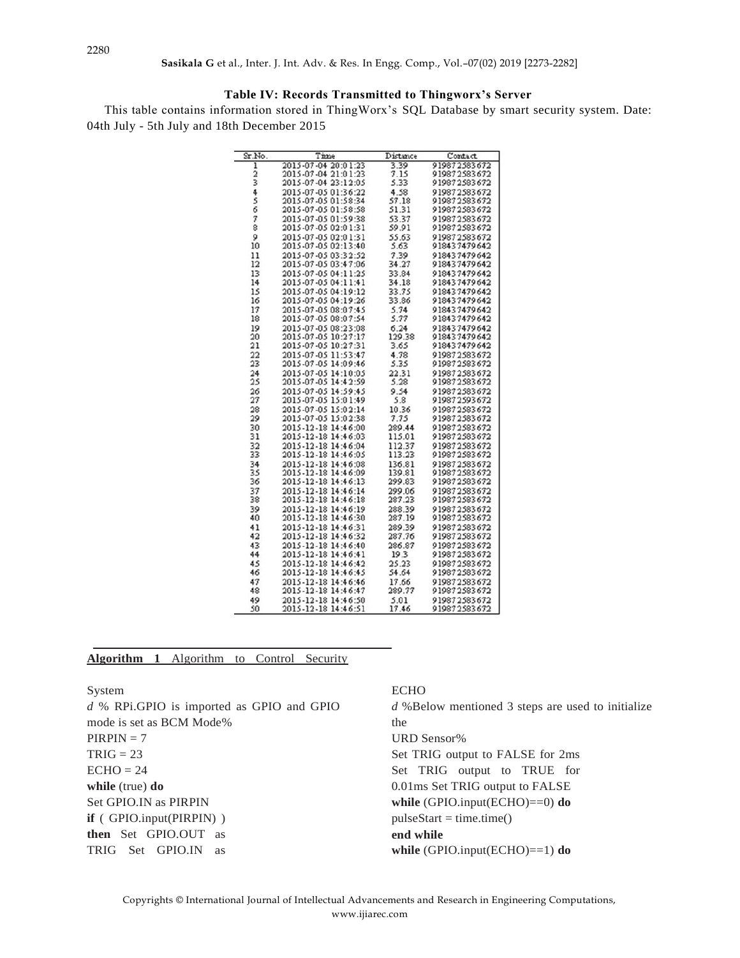## **Table IV: Records Transmitted to Thingworx's Server**

This table contains information stored in ThingWorx's SQL Database by smart security system. Date: 04th July - 5th July and 18th December 2015

| Sr.No.  | Time                | Distance | Contact      |
|---------|---------------------|----------|--------------|
| ī       | 2015-07-04 20:01:23 | 3.39     | 919872583672 |
|         | 2015-07-04 21:01:23 | 7.15     | 919872583672 |
| 2<br>3  | 2015-07-04 23:12:05 | 5.33     | 919872583672 |
| 456     | 2015-07-05 01:36:22 | 4.58     | 919872583672 |
|         | 2015-07-05 01:58:34 | 57.18    | 919872583672 |
|         | 2015-07-05 01:58:58 | 51.31    | 919872583672 |
| 7       | 2015-07-05 01:59:38 | 53.37    | 919872583672 |
| 8       | 2015-07-05 02:01:31 | 59.91    | 919872583672 |
| 9       | 2015-07-05 02:01:31 | 55.63    | 919872583672 |
| 10      | 2015-07-05 02:13:40 | 5.63     | 918437479642 |
| 11      | 2015-07-05 03:32:52 | 7.39     | 918437479642 |
| 12      | 2015-07-05 03:47:06 | 34.27    | 918437479642 |
| 13      | 2015-07-05 04:11:25 | 33.84    | 918437479642 |
| 14      | 2015-07-05 04:11:41 | 34.18    | 918437479642 |
| 15      | 2015-07-05 04:19:12 | 33.75    | 918437479642 |
| 16      | 2015-07-05 04:19:26 | 33.86    | 918437479642 |
| 17      | 2015-07-05 08:07:45 | 5.74     | 918437479642 |
| 18      | 2015-07-05 08:07:54 | 5.77     | 918437479642 |
| 19      | 2015-07-05 08:23:08 | 6.24     | 918437479642 |
| 20      | 2015-07-05 10:27:17 | 129.38   | 918437479642 |
| 21      | 2015-07-05 10:27:31 | 3.65     | 918437479642 |
| 22      | 2015-07-05 11:53:47 | 4.78     | 919872583672 |
| 23      | 2015-07-05 14:09:46 | 5.35     | 919872583672 |
| 24      | 2015-07-05 14:10:05 | 22.31    | 919872583672 |
| 25      | 2015-07-05 14:42:59 | 5.28     | 919872583672 |
| 26      | 2015-07-05 14:59:45 | 9.54     | 919872583672 |
| $^{27}$ | 2015-07-05 15:01:49 | 5.8      | 919872593672 |
| 28      | 2015-07-05 15:02:14 | 10.36    | 919872583672 |
| 29      | 2015-07-05 15:02:38 | 7.75     | 919872583672 |
| 30      | 2015-12-18 14:46:00 | 289.44   | 919872583672 |
| 31      | 2015-12-18 14:46:03 | 115.01   | 919872583672 |
| 32      | 2015-12-18 14:46:04 | 112.37   | 919872583672 |
| 33      | 2015-12-18 14:46:05 | 113.23   | 919872583672 |
| 34      | 2015-12-18 14:46:08 | 136.81   | 919872583672 |
| 35      | 2015-12-18 14:46:09 | 139.81   | 919872583672 |
| 36      | 2015-12-18 14:46:13 | 299.83   | 919872583672 |
| 37      | 2015-12-18 14:46:14 | 299.06   | 919872583672 |
| 38      | 2015-12-18 14:46:18 | 287.23   | 919872583672 |
| 39      | 2015-12-18 14:46:19 | 288.39   | 919872583672 |
| 40      | 2015-12-18 14:46:30 | 287.19   | 919872583672 |
| 41      | 2015-12-18 14:46:31 | 289.39   | 919872583672 |
|         |                     |          |              |
| 42      | 2015-12-18 14:46:32 | 287.76   | 919872583672 |
| 43      | 2015-12-18 14:46:40 | 286.87   | 919872583672 |
| 44      | 2015-12-18 14:46:41 | 19.3     | 919872583672 |
| 45      | 2015-12-18 14:46:42 | 25.23    | 919872583672 |
| 46      | 2015-12-18 14:46:45 | 54.64    | 919872583672 |
| 47      | 2015-12-18 14:46:46 | 17.66    | 919872583672 |
| 48      | 2015-12-18 14:46:47 | 289.77   | 919872583672 |
| 49      | 2015-12-18 14:46:50 | 5.01     | 919872583672 |
| 50      | 2015-12-18 14:46:51 | 17.46    | 919872583672 |

## **Algorithm 1** Algorithm to Control Security

System *d* % RPi.GPIO is imported as GPIO and GPIO mode is set as BCM Mode%  $PIRPIN = 7$  $TRIG = 23$  $ECHO = 24$ **while** (true) **do** Set GPIO.IN as PIRPIN **if** ( GPIO.input(PIRPIN) ) **then** Set GPIO.OUT as TRIG Set GPIO.IN as

#### ECHO

*d* %Below mentioned 3 steps are used to initialize the URD Sensor% Set TRIG output to FALSE for 2ms Set TRIG output to TRUE for 0.01ms Set TRIG output to FALSE **while** (GPIO.input(ECHO)==0) **do**  $pulseStart = time.time()$ **end while while** (GPIO.input(ECHO)==1) **do**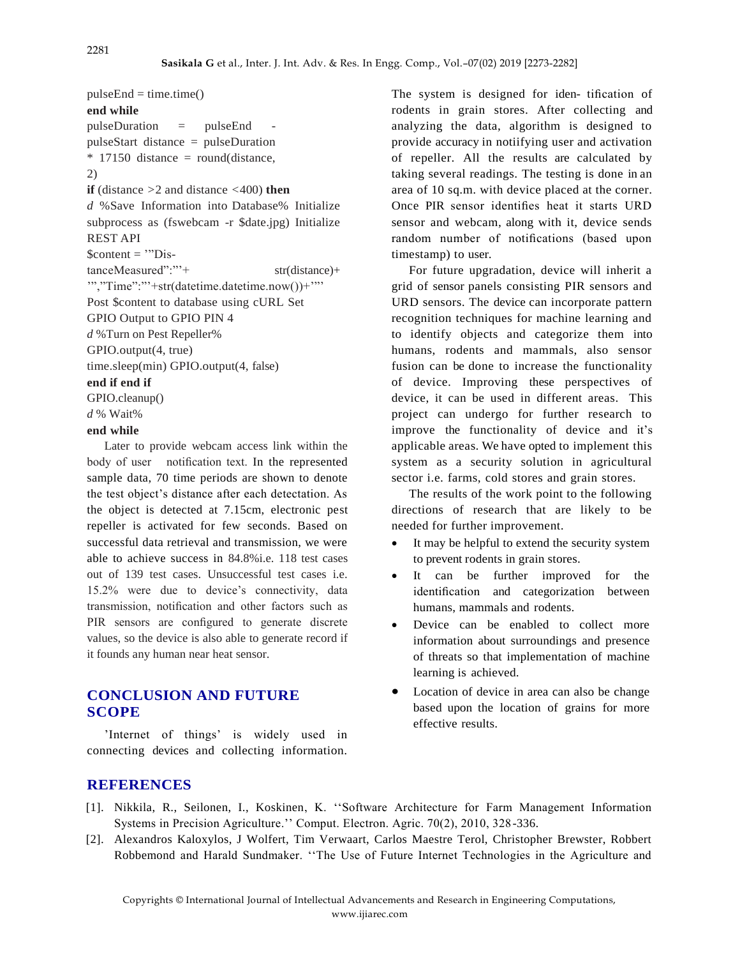$pulseEnd = time.time()$ **end while**  $pulseDuration = pulseEnd$ pulseStart distance = pulseDuration  $*$  17150 distance = round(distance, 2) **if** (distance *>*2 and distance *<*400) **then** *d* %Save Information into Database% Initialize subprocess as (fswebcam -r \$date.jpg) Initialize REST API  $\text{Scontent} = \text{"Dis-}$ tanceMeasured":"<sup>\*\*</sup>+ str(distance)+ '","Time":"'+str(datetime.datetime.now())+'"' Post \$content to database using cURL Set GPIO Output to GPIO PIN 4 *d* %Turn on Pest Repeller% GPIO.output(4, true) time.sleep(min) GPIO.output(4, false) **end if end if** GPIO.cleanup() *d* % Wait% **end while**

Later to provide webcam access link within the body of user notification text. In the represented sample data, 70 time periods are shown to denote the test object's distance after each detectation. As the object is detected at 7.15cm, electronic pest repeller is activated for few seconds. Based on successful data retrieval and transmission, we were able to achieve success in 84.8%i.e. 118 test cases out of 139 test cases. Unsuccessful test cases i.e. 15.2% were due to device's connectivity, data transmission, notification and other factors such as PIR sensors are configured to generate discrete values, so the device is also able to generate record if it founds any human near heat sensor.

## **CONCLUSION AND FUTURE SCOPE**

'Internet of things' is widely used in connecting devices and collecting information. The system is designed for iden- tification of rodents in grain stores. After collecting and analyzing the data, algorithm is designed to provide accuracy in notiifying user and activation of repeller. All the results are calculated by taking several readings. The testing is done in an area of 10 sq.m. with device placed at the corner. Once PIR sensor identifies heat it starts URD sensor and webcam, along with it, device sends random number of notifications (based upon timestamp) to user.

For future upgradation, device will inherit a grid of sensor panels consisting PIR sensors and URD sensors. The device can incorporate pattern recognition techniques for machine learning and to identify objects and categorize them into humans, rodents and mammals, also sensor fusion can be done to increase the functionality of device. Improving these perspectives of device, it can be used in different areas. This project can undergo for further research to improve the functionality of device and it's applicable areas. We have opted to implement this system as a security solution in agricultural sector i.e. farms, cold stores and grain stores.

The results of the work point to the following directions of research that are likely to be needed for further improvement.

- It may be helpful to extend the security system to prevent rodents in grain stores.
- It can be further improved for the identification and categorization between humans, mammals and rodents.
- Device can be enabled to collect more information about surroundings and presence of threats so that implementation of machine learning is achieved.
- Location of device in area can also be change based upon the location of grains for more effective results.

## **REFERENCES**

- [1]. Nikkila, R., Seilonen, I., Koskinen, K. ''Software Architecture for Farm Management Information Systems in Precision Agriculture.'' Comput. Electron. Agric. 70(2), 2010, 328-336.
- [2]. Alexandros Kaloxylos, J Wolfert, Tim Verwaart, Carlos Maestre Terol, Christopher Brewster, Robbert Robbemond and Harald Sundmaker. ''The Use of Future Internet Technologies in the Agriculture and